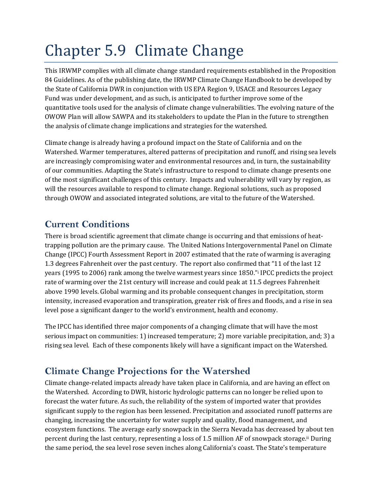# Chapter 5.9 Climate Change

This IRWMP complies with all climate change standard requirements established in the Proposition 84 Guidelines. As of the publishing date, the IRWMP Climate Change Handbook to be developed by the State of California DWR in conjunction with US EPA Region 9, USACE and Resources Legacy Fund was under development, and as such, is anticipated to further improve some of the quantitative tools used for the analysis of climate change vulnerabilities. The evolving nature of the OWOW Plan will allow SAWPA and its stakeholders to update the Plan in the future to strengthen the analysis of climate change implications and strategies for the watershed.

Climate change is already having a profound impact on the State of California and on the Watershed. Warmer temperatures, altered patterns of precipitation and runoff, and rising sea levels are increasingly compromising water and environmental resources and, in turn, the sustainability of our communities. Adapting the State's infrastructure to respond to climate change presents one of the most significant challenges of this century. Impacts and vulnerability will vary by region, as will the resources available to respond to climate change. Regional solutions, such as proposed through OWOW and associated integrated solutions, are vital to the future of the Watershed.

# **Current Conditions**

There is broad scientific agreement that climate change is occurring and that emissions of heattrapping pollution are the primary cause. The United Nations Intergovernmental Panel on Climate Change (IPCC) Fourth Assessment Report in 2007 estimated that the rate of warming is averaging 1.3 degrees Fahrenheit over the past century. The report also confirmed that "11 of the last 12 years (1995 to 2006) rank among the twelve warmest years since 1850."i IPCC predicts the project rate of warming over the 21st century will increase and could peak at 11.5 degrees Fahrenheit above 1990 levels. Global warming and its probable consequent changes in precipitation, storm intensity, increased evaporation and transpiration, greater risk of fires and floods, and a rise in sea level pose a significant danger to the world's environment, health and economy.

The IPCC has identified three major components of a changing climate that will have the most serious impact on communities: 1) increased temperature; 2) more variable precipitation, and; 3) a rising sea level. Each of these components likely will have a significant impact on the Watershed.

# **Climate Change Projections for the Watershed**

Climate change‐related impacts already have taken place in California, and are having an effect on the Watershed. According to DWR, historic hydrologic patterns can no longer be relied upon to forecast the water future. As such, the reliability of the system of imported water that provides significant supply to the region has been lessened. Precipitation and associated runoff patterns are changing, increasing the uncertainty for water supply and quality, flood management, and ecosystem functions. The average early snowpack in the Sierra Nevada has decreased by about ten percent during the last century, representing a loss of 1.5 million AF of snowpack storage.ii During the same period, the sea level rose seven inches along California's coast. The State's temperature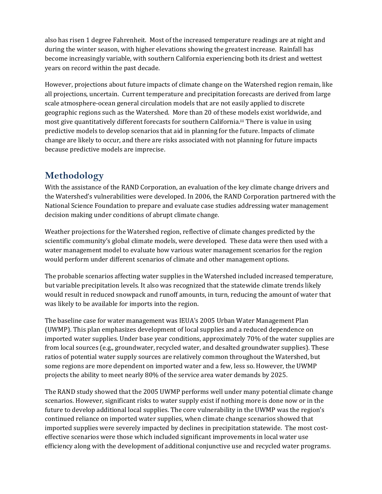also has risen 1 degree Fahrenheit. Most of the increased temperature readings are at night and during the winter season, with higher elevations showing the greatest increase. Rainfall has become increasingly variable, with southern California experiencing both its driest and wettest years on record within the past decade.

However, projections about future impacts of climate change on the Watershed region remain, like all projections, uncertain. Current temperature and precipitation forecasts are derived from large scale atmosphere‐ocean general circulation models that are not easily applied to discrete geographic regions such as the Watershed. More than 20 of these models exist worldwide, and most give quantitatively different forecasts for southern California.iii There is value in using predictive models to develop scenarios that aid in planning for the future. Impacts of climate change are likely to occur, and there are risks associated with not planning for future impacts because predictive models are imprecise.

# **Methodology**

With the assistance of the RAND Corporation, an evaluation of the key climate change drivers and the Watershed's vulnerabilities were developed. In 2006, the RAND Corporation partnered with the National Science Foundation to prepare and evaluate case studies addressing water management decision making under conditions of abrupt climate change.

Weather projections for the Watershed region, reflective of climate changes predicted by the scientific community's global climate models, were developed. These data were then used with a water management model to evaluate how various water management scenarios for the region would perform under different scenarios of climate and other management options.

The probable scenarios affecting water supplies in the Watershed included increased temperature, but variable precipitation levels. It also was recognized that the statewide climate trends likely would result in reduced snowpack and runoff amounts, in turn, reducing the amount of water that was likely to be available for imports into the region.

The baseline case for water management was IEUA's 2005 Urban Water Management Plan (UWMP). This plan emphasizes development of local supplies and a reduced dependence on imported water supplies. Under base year conditions, approximately 70% of the water supplies are from local sources (e.g., groundwater, recycled water, and desalted groundwater supplies). These ratios of potential water supply sources are relatively common throughout the Watershed, but some regions are more dependent on imported water and a few, less so. However, the UWMP projects the ability to meet nearly 80% of the service area water demands by 2025.

The RAND study showed that the 2005 UWMP performs well under many potential climate change scenarios. However, significant risks to water supply exist if nothing more is done now or in the future to develop additional local supplies. The core vulnerability in the UWMP was the region's continued reliance on imported water supplies, when climate change scenarios showed that imported supplies were severely impacted by declines in precipitation statewide. The most costeffective scenarios were those which included significant improvements in local water use efficiency along with the development of additional conjunctive use and recycled water programs.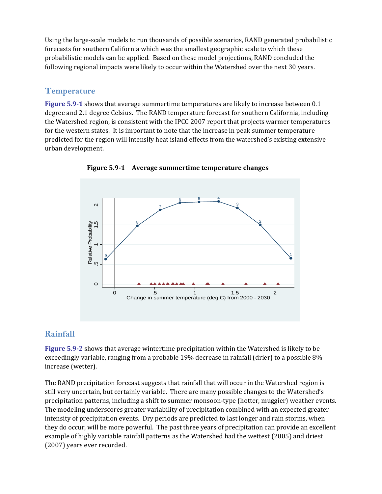Using the large‐scale models to run thousands of possible scenarios, RAND generated probabilistic forecasts for southern California which was the smallest geographic scale to which these probabilistic models can be applied. Based on these model projections, RAND concluded the following regional impacts were likely to occur within the Watershed over the next 30 years.

## **Temperature**

**Figure 5.91** shows that average summertime temperatures are likely to increase between 0.1 degree and 2.1 degree Celsius. The RAND temperature forecast for southern California, including the Watershed region, is consistent with the IPCC 2007 report that projects warmer temperatures for the western states. It is important to note that the increase in peak summer temperature predicted for the region will intensify heat island effects from the watershed's existing extensive urban development.



**Figure 5.91 Average summertime temperature changes**

## **Rainfall**

**Figure 5.92** shows that average wintertime precipitation within the Watershed is likely to be exceedingly variable, ranging from a probable 19% decrease in rainfall (drier) to a possible 8% increase (wetter).

The RAND precipitation forecast suggests that rainfall that will occur in the Watershed region is still very uncertain, but certainly variable. There are many possible changes to the Watershed's precipitation patterns, including a shift to summer monsoon-type (hotter, muggier) weather events. The modeling underscores greater variability of precipitation combined with an expected greater intensity of precipitation events. Dry periods are predicted to last longer and rain storms, when they do occur, will be more powerful. The past three years of precipitation can provide an excellent example of highly variable rainfall patterns as the Watershed had the wettest (2005) and driest (2007) years ever recorded.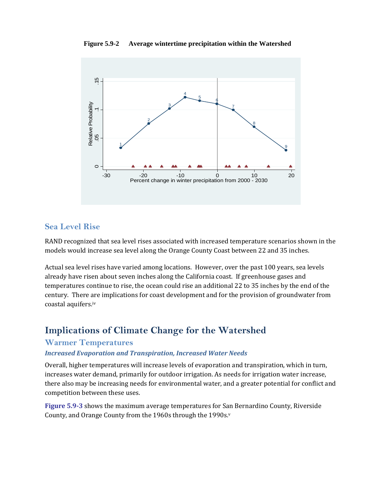**Figure 5.9-2 Average wintertime precipitation within the Watershed** 



### **Sea Level Rise**

RAND recognized that sea level rises associated with increased temperature scenarios shown in the models would increase sea level along the Orange County Coast between 22 and 35 inches.

Actual sea level rises have varied among locations. However, over the past 100 years, sea levels already have risen about seven inches along the California coast. If greenhouse gases and temperatures continue to rise, the ocean could rise an additional 22 to 35 inches by the end of the century. There are implications for coast development and for the provision of groundwater from coastal aquifers.iv

# **Implications of Climate Change for the Watershed**

#### **Warmer Temperatures**

#### *Increased Evaporation and Transpiration, Increased Water Needs*

Overall, higher temperatures will increase levels of evaporation and transpiration, which in turn, increases water demand, primarily for outdoor irrigation. As needs for irrigation water increase, there also may be increasing needs for environmental water, and a greater potential for conflict and competition between these uses.

**Figure 5.93** shows the maximum average temperatures for San Bernardino County, Riverside County, and Orange County from the 1960s through the 1990s.v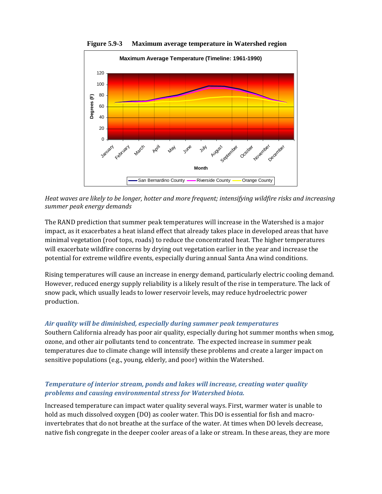

**Figure 5.9-3 Maximum average temperature in Watershed region** 

*Heat waves are likely to be longer, hotter and more frequent; intensifying wildfire risks and increasing summer peak energy demands*

The RAND prediction that summer peak temperatures will increase in the Watershed is a major impact, as it exacerbates a heat island effect that already takes place in developed areas that have minimal vegetation (roof tops, roads) to reduce the concentrated heat. The higher temperatures will exacerbate wildfire concerns by drying out vegetation earlier in the year and increase the potential for extreme wildfire events, especially during annual Santa Ana wind conditions.

Rising temperatures will cause an increase in energy demand, particularly electric cooling demand. However, reduced energy supply reliability is a likely result of the rise in temperature. The lack of snow pack, which usually leads to lower reservoir levels, may reduce hydroelectric power production.

#### *Air quality will be diminished, especially during summer peak temperatures*

Southern California already has poor air quality, especially during hot summer months when smog, ozone, and other air pollutants tend to concentrate. The expected increase in summer peak temperatures due to climate change will intensify these problems and create a larger impact on sensitive populations (e.g., young, elderly, and poor) within the Watershed.

#### *Temperature of interior stream, ponds and lakes will increase, creating water quality problems and causing environmental stress for Watershed biota.*

Increased temperature can impact water quality several ways. First, warmer water is unable to hold as much dissolved oxygen (DO) as cooler water. This DO is essential for fish and macroinvertebrates that do not breathe at the surface of the water. At times when DO levels decrease, native fish congregate in the deeper cooler areas of a lake or stream. In these areas, they are more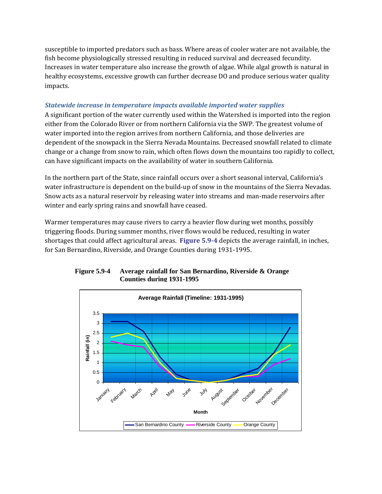susceptible to imported predators such as bass. Where areas of cooler water are not available, the fish become physiologically stressed resulting in reduced survival and decreased fecundity. Increases in water temperature also increase the growth of algae. While algal growth is natural in healthy ecosystems, excessive growth can further decrease DO and produce serious water quality impacts.

#### *Statewide increase in temperature impacts available imported water supplies*

A significant portion of the water currently used within the Watershed is imported into the region either from the Colorado River or from northern California via the SWP. The greatest volume of water imported into the region arrives from northern California, and those deliveries are dependent of the snowpack in the Sierra Nevada Mountains. Decreased snowfall related to climate change or a change from snow to rain, which often flows down the mountains too rapidly to collect, can have significant impacts on the availability of water in southern California.

In the northern part of the State, since rainfall occurs over a short seasonal interval, California's water infrastructure is dependent on the build-up of snow in the mountains of the Sierra Nevadas. Snow acts as a natural reservoir by releasing water into streams and man‐made reservoirs after winter and early spring rains and snowfall have ceased.

Warmer temperatures may cause rivers to carry a heavier flow during wet months, possibly triggering floods. During summer months, river flows would be reduced, resulting in water shortages that could affect agricultural areas. **Figure 5.94** depicts the average rainfall, in inches, for San Bernardino, Riverside, and Orange Counties during 1931‐1995.



**Figure 5.9-4 Average rainfall for San Bernardino, Riverside & Orange Counties during 1931-1995**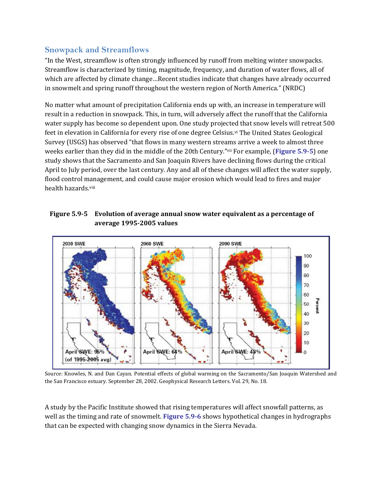## **Snowpack and Streamflows**

"In the West, streamflow is often strongly influenced by runoff from melting winter snowpacks. Streamflow is characterized by timing, magnitude, frequency, and duration of water flows, all of which are affected by climate change…Recent studies indicate that changes have already occurred in snowmelt and spring runoff throughout the western region of North America." (NRDC)

No matter what amount of precipitation California ends up with, an increase in temperature will result in a reduction in snowpack. This, in turn, will adversely affect the runoff that the California water supply has become so dependent upon. One study projected that snow levels will retreat 500 feet in elevation in California for every rise of one degree Celsius.vi The United States Geological Survey (USGS) has observed "that flows in many western streams arrive a week to almost three weeks earlier than they did in the middle of the 20th Century."vii For example, (**Figure 5.95**) one study shows that the Sacramento and San Joaquin Rivers have declining flows during the critical April to July period, over the last century. Any and all of these changes will affect the water supply, flood control management, and could cause major erosion which would lead to fires and major health hazards.viii

#### **Figure 5.95 Evolution of average annual snow water equivalent as a percentage of average 19952005 values**



Source: Knowles, N. and Dan Cayan. Potential effects of global warming on the Sacramento/San Joaquin Watershed and the San Francisco estuary. September 28, 2002. Geophysical Research Letters. Vol. 29, No. 18.

A study by the Pacific Institute showed that rising temperatures will affect snowfall patterns, as well as the timing and rate of snowmelt. **Figure 5.96** shows hypothetical changes in hydrographs that can be expected with changing snow dynamics in the Sierra Nevada.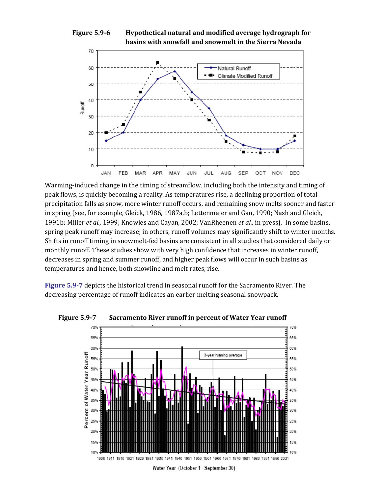



Warming-induced change in the timing of streamflow, including both the intensity and timing of peak flows, is quickly becoming a reality. As temperatures rise, a declining proportion of total precipitation falls as snow, more winter runoff occurs, and remaining snow melts sooner and faster in spring (see, for example, Gleick, 1986, 1987a,b; Lettenmaier and Gan, 1990; Nash and Gleick, 1991b; Miller *et al.,* 1999; Knowles and Cayan, 2002; VanRheenen *et al.*, in press). In some basins, spring peak runoff may increase; in others, runoff volumes may significantly shift to winter months. Shifts in runoff timing in snowmelt‐fed basins are consistent in all studies that considered daily or monthly runoff. These studies show with very high confidence that increases in winter runoff, decreases in spring and summer runoff, and higher peak flows will occur in such basins as temperatures and hence, both snowline and melt rates, rise.

**Figure 5.97** depicts the historical trend in seasonal runoff for the Sacramento River. The decreasing percentage of runoff indicates an earlier melting seasonal snowpack.



**Figure 5.97 Sacramento River runoff in percent of Water Year runoff**

Water Year (October 1 - September 30)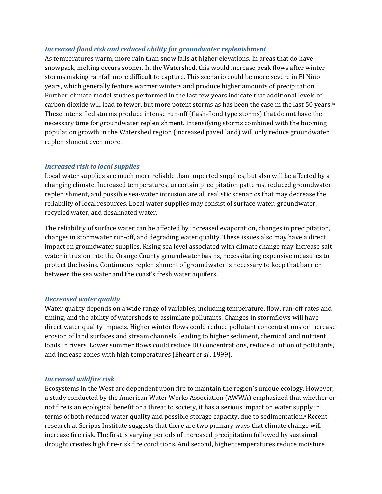#### *Increased flood risk and reduced ability for groundwater replenishment*

As temperatures warm, more rain than snow falls at higher elevations. In areas that do have snowpack, melting occurs sooner. In the Watershed, this would increase peak flows after winter storms making rainfall more difficult to capture. This scenario could be more severe in El Niño years, which generally feature warmer winters and produce higher amounts of precipitation. Further, climate model studies performed in the last few years indicate that additional levels of carbon dioxide will lead to fewer, but more potent storms as has been the case in the last 50 years.ix These intensified storms produce intense run‐off (flash‐flood type storms) that do not have the necessary time for groundwater replenishment. Intensifying storms combined with the booming population growth in the Watershed region (increased paved land) will only reduce groundwater replenishment even more.

#### *Increased risk to local supplies*

Local water supplies are much more reliable than imported supplies, but also will be affected by a changing climate. Increased temperatures, uncertain precipitation patterns, reduced groundwater replenishment, and possible sea‐water intrusion are all realistic scenarios that may decrease the reliability of local resources. Local water supplies may consist of surface water, groundwater, recycled water, and desalinated water.

The reliability of surface water can be affected by increased evaporation, changes in precipitation, changes in stormwater run‐off, and degrading water quality. These issues also may have a direct impact on groundwater supplies. Rising sea level associated with climate change may increase salt water intrusion into the Orange County groundwater basins, necessitating expensive measures to protect the basins. Continuous replenishment of groundwater is necessary to keep that barrier between the sea water and the coast's fresh water aquifers.

#### *Decreased water quality*

Water quality depends on a wide range of variables, including temperature, flow, run‐off rates and timing, and the ability of watersheds to assimilate pollutants. Changes in stormflows will have direct water quality impacts. Higher winter flows could reduce pollutant concentrations or increase erosion of land surfaces and stream channels, leading to higher sediment, chemical, and nutrient loads in rivers. Lower summer flows could reduce DO concentrations, reduce dilution of pollutants, and increase zones with high temperatures (Eheart *et al.*, 1999).

#### *Increased wildfire risk*

Ecosystems in the West are dependent upon fire to maintain the region's unique ecology. However, a study conducted by the American Water Works Association (AWWA) emphasized that whether or not fire is an ecological benefit or a threat to society, it has a serious impact on water supply in terms of both reduced water quality and possible storage capacity, due to sedimentation.<sup>x</sup> Recent research at Scripps Institute suggests that there are two primary ways that climate change will increase fire risk. The first is varying periods of increased precipitation followed by sustained drought creates high fire‐risk fire conditions. And second, higher temperatures reduce moisture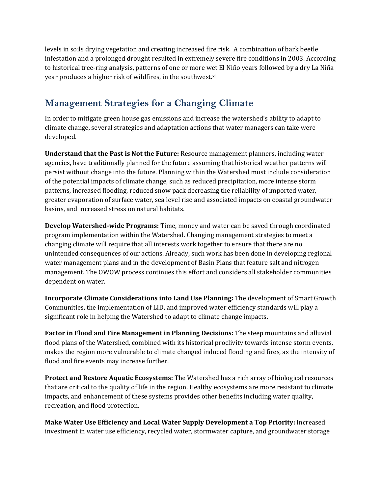levels in soils drying vegetation and creating increased fire risk. A combination of bark beetle infestation and a prolonged drought resulted in extremely severe fire conditions in 2003. According to historical tree‐ring analysis, patterns of one or more wet El Niño years followed by a dry La Niña year produces a higher risk of wildfires, in the southwest.xi

# **Management Strategies for a Changing Climate**

In order to mitigate green house gas emissions and increase the watershed's ability to adapt to climate change, several strategies and adaptation actions that water managers can take were developed.

**Understand that the Past is Not the Future:** Resource management planners, including water agencies, have traditionally planned for the future assuming that historical weather patterns will persist without change into the future. Planning within the Watershed must include consideration of the potential impacts of climate change, such as reduced precipitation, more intense storm patterns, increased flooding, reduced snow pack decreasing the reliability of imported water, greater evaporation of surface water, sea level rise and associated impacts on coastal groundwater basins, and increased stress on natural habitats.

**Develop Watershedwide Programs:** Time, money and water can be saved through coordinated program implementation within the Watershed. Changing management strategies to meet a changing climate will require that all interests work together to ensure that there are no unintended consequences of our actions. Already, such work has been done in developing regional water management plans and in the development of Basin Plans that feature salt and nitrogen management. The OWOW process continues this effort and considers all stakeholder communities dependent on water.

**Incorporate Climate Considerations into Land Use Planning:** The development of Smart Growth Communities, the implementation of LID, and improved water efficiency standards will play a significant role in helping the Watershed to adapt to climate change impacts.

**Factor in Flood and Fire Management in Planning Decisions:** The steep mountains and alluvial flood plans of the Watershed, combined with its historical proclivity towards intense storm events, makes the region more vulnerable to climate changed induced flooding and fires, as the intensity of flood and fire events may increase further.

**Protect and Restore Aquatic Ecosystems:** The Watershed has a rich array of biological resources that are critical to the quality of life in the region. Healthy ecosystems are more resistant to climate impacts, and enhancement of these systems provides other benefits including water quality, recreation, and flood protection.

**Make Water Use Efficiency and Local Water Supply Development a Top Priority:** Increased investment in water use efficiency, recycled water, stormwater capture, and groundwater storage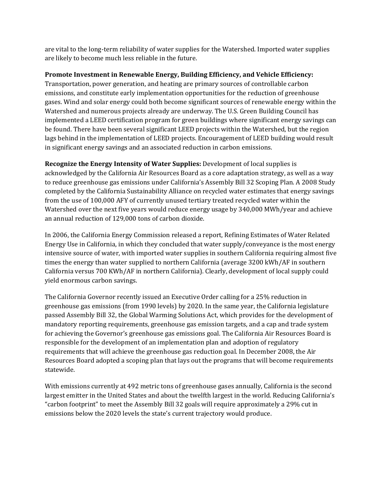are vital to the long‐term reliability of water supplies for the Watershed. Imported water supplies are likely to become much less reliable in the future.

#### **Promote Investment in Renewable Energy, Building Efficiency, and Vehicle Efficiency:**

Transportation, power generation, and heating are primary sources of controllable carbon emissions, and constitute early implementation opportunities for the reduction of greenhouse gases. Wind and solar energy could both become significant sources of renewable energy within the Watershed and numerous projects already are underway. The U.S. Green Building Council has implemented a LEED certification program for green buildings where significant energy savings can be found. There have been several significant LEED projects within the Watershed, but the region lags behind in the implementation of LEED projects. Encouragement of LEED building would result in significant energy savings and an associated reduction in carbon emissions.

**Recognize the Energy Intensity of Water Supplies:** Development of local supplies is acknowledged by the California Air Resources Board as a core adaptation strategy, as well as a way to reduce greenhouse gas emissions under California's Assembly Bill 32 Scoping Plan. A 2008 Study completed by the California Sustainability Alliance on recycled water estimates that energy savings from the use of 100,000 AFY of currently unused tertiary treated recycled water within the Watershed over the next five years would reduce energy usage by 340,000 MWh/year and achieve an annual reduction of 129,000 tons of carbon dioxide.

In 2006, the California Energy Commission released a report, Refining Estimates of Water Related Energy Use in California, in which they concluded that water supply/conveyance is the most energy intensive source of water, with imported water supplies in southern California requiring almost five times the energy than water supplied to northern California (average 3200 kWh/AF in southern California versus 700 KWh/AF in northern California). Clearly, development of local supply could yield enormous carbon savings.

The California Governor recently issued an Executive Order calling for a 25% reduction in greenhouse gas emissions (from 1990 levels) by 2020. In the same year, the California legislature passed Assembly Bill 32, the Global Warming Solutions Act, which provides for the development of mandatory reporting requirements, greenhouse gas emission targets, and a cap and trade system for achieving the Governor's greenhouse gas emissions goal. The California Air Resources Board is responsible for the development of an implementation plan and adoption of regulatory requirements that will achieve the greenhouse gas reduction goal. In December 2008, the Air Resources Board adopted a scoping plan that lays out the programs that will become requirements statewide.

With emissions currently at 492 metric tons of greenhouse gases annually, California is the second largest emitter in the United States and about the twelfth largest in the world. Reducing California's "carbon footprint" to meet the Assembly Bill 32 goals will require approximately a 29% cut in emissions below the 2020 levels the state's current trajectory would produce.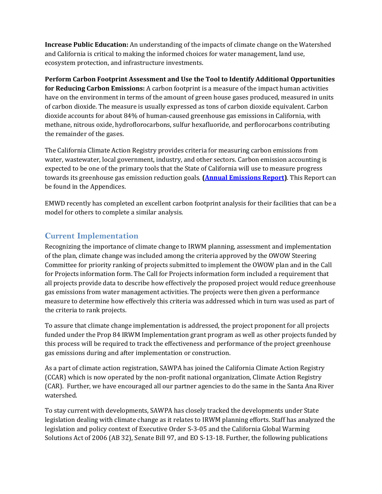**Increase Public Education:** An understanding of the impacts of climate change on the Watershed and California is critical to making the informed choices for water management, land use, ecosystem protection, and infrastructure investments.

**Perform Carbon Footprint Assessment and Use the Tool to Identify Additional Opportunities for Reducing Carbon Emissions:** A carbon footprint is a measure of the impact human activities have on the environment in terms of the amount of green house gases produced, measured in units of carbon dioxide. The measure is usually expressed as tons of carbon dioxide equivalent. Carbon dioxide accounts for about 84% of human‐caused greenhouse gas emissions in California, with methane, nitrous oxide, hydroflorocarbons, sulfur hexafluoride, and perflorocarbons contributing the remainder of the gases.

The California Climate Action Registry provides criteria for measuring carbon emissions from water, wastewater, local government, industry, and other sectors. Carbon emission accounting is expected to be one of the primary tools that the State of California will use to measure progress towards its greenhouse gas emission reduction goals. **(Annual Emissions Report)**. This Report can be found in the Appendices.

EMWD recently has completed an excellent carbon footprint analysis for their facilities that can be a model for others to complete a similar analysis.

## **Current Implementation**

Recognizing the importance of climate change to IRWM planning, assessment and implementation of the plan, climate change was included among the criteria approved by the OWOW Steering Committee for priority ranking of projects submitted to implement the OWOW plan and in the Call for Projects information form. The Call for Projects information form included a requirement that all projects provide data to describe how effectively the proposed project would reduce greenhouse gas emissions from water management activities. The projects were then given a performance measure to determine how effectively this criteria was addressed which in turn was used as part of the criteria to rank projects.

To assure that climate change implementation is addressed, the project proponent for all projects funded under the Prop 84 IRWM Implementation grant program as well as other projects funded by this process will be required to track the effectiveness and performance of the project greenhouse gas emissions during and after implementation or construction.

As a part of climate action registration, SAWPA has joined the California Climate Action Registry (CCAR) which is now operated by the non‐profit national organization, Climate Action Registry (CAR). Further, we have encouraged all our partner agencies to do the same in the Santa Ana River watershed.

To stay current with developments, SAWPA has closely tracked the developments under State legislation dealing with climate change as it relates to IRWM planning efforts. Staff has analyzed the legislation and policy context of Executive Order S‐3‐05 and the California Global Warming Solutions Act of 2006 (AB 32), Senate Bill 97, and EO S‐13‐18. Further, the following publications